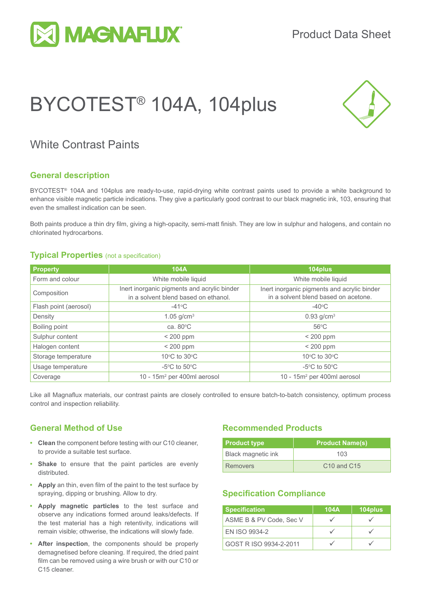

# BYCOTEST® 104A, 104plus



### White Contrast Paints

#### **General description**

BYCOTEST<sup>®</sup> 104A and 104plus are ready-to-use, rapid-drying white contrast paints used to provide a white background to enhance visible magnetic particle indications. They give a particularly good contrast to our black magnetic ink, 103, ensuring that even the smallest indication can be seen.

Both paints produce a thin dry film, giving a high-opacity, semi-matt finish. They are low in sulphur and halogens, and contain no chlorinated hydrocarbons.

#### **Typical Properties** (not a specification)

| <b>Property</b>       | <b>104A</b>                                                                         | 104plus                                                                             |  |
|-----------------------|-------------------------------------------------------------------------------------|-------------------------------------------------------------------------------------|--|
| Form and colour       | White mobile liquid                                                                 | White mobile liquid                                                                 |  |
| Composition           | Inert inorganic pigments and acrylic binder<br>in a solvent blend based on ethanol. | Inert inorganic pigments and acrylic binder<br>in a solvent blend based on acetone. |  |
| Flash point (aerosol) | $-41^{\circ}$ C                                                                     | $-40^{\circ}$ C                                                                     |  |
| Density               | 1.05 $g/cm^{3}$                                                                     | $0.93$ g/cm <sup>3</sup>                                                            |  |
| Boiling point         | ca. $80^{\circ}$ C                                                                  | $56^{\circ}$ C                                                                      |  |
| Sulphur content       | $<$ 200 ppm                                                                         | $<$ 200 ppm                                                                         |  |
| Halogen content       | $< 200$ ppm                                                                         | $<$ 200 ppm                                                                         |  |
| Storage temperature   | 10 $\rm{^{\circ}C}$ to 30 $\rm{^{\circ}C}$                                          | 10°C to 30°C                                                                        |  |
| Usage temperature     | $-5^{\circ}$ C to $50^{\circ}$ C                                                    | $-5^{\circ}$ C to $50^{\circ}$ C                                                    |  |
| Coverage              | 10 - $15m^2$ per 400ml aerosol                                                      | 10 - $15m^2$ per 400ml aerosol                                                      |  |

Like all Magnaflux materials, our contrast paints are closely controlled to ensure batch-to-batch consistency, optimum process control and inspection reliability.

#### **General Method of Use**

- **• Clean** the component before testing with our C10 cleaner, to provide a suitable test surface.
- **• Shake** to ensure that the paint particles are evenly distributed.
- **• Apply** an thin, even film of the paint to the test surface by spraying, dipping or brushing. Allow to dry.
- **• Apply magnetic particles** to the test surface and observe any indications formed around leaks/defects. If the test material has a high retentivity, indications will remain visible; othwerise, the indications will slowly fade.
- **• After inspection**, the components should be properly demagnetised before cleaning. If required, the dried paint film can be removed using a wire brush or with our C10 or C15 cleaner.

#### **Recommended Products**

| <b>Product type</b> | <b>Product Name(s)</b>              |  |  |
|---------------------|-------------------------------------|--|--|
| Black magnetic ink  | 103                                 |  |  |
| <b>Removers</b>     | C <sub>10</sub> and C <sub>15</sub> |  |  |

#### **Specification Compliance**

| <b>Specification</b>    | 104A | 104plus |
|-------------------------|------|---------|
| ASME B & PV Code, Sec V |      |         |
| <b>FN ISO 9934-2</b>    |      |         |
| GOST R ISO 9934-2-2011  |      |         |